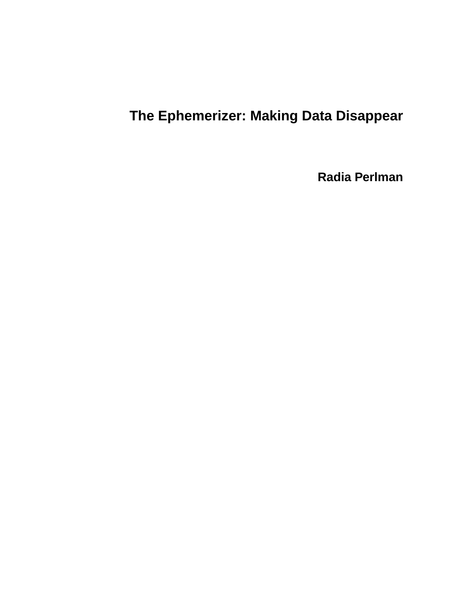# **The Ephemerizer: Making Data Disappear**

**Radia Perlman**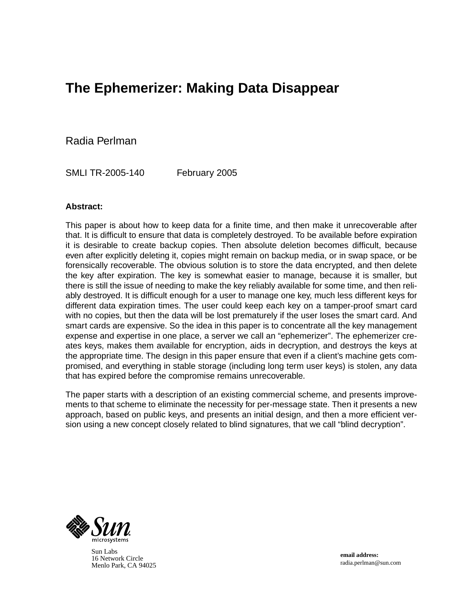# **The Ephemerizer: Making Data Disappear**

Radia Perlman

SMLI TR-2005-140 February 2005

#### **Abstract:**

This paper is about how to keep data for a finite time, and then make it unrecoverable after that. It is difficult to ensure that data is completely destroyed. To be available before expiration it is desirable to create backup copies. Then absolute deletion becomes difficult, because even after explicitly deleting it, copies might remain on backup media, or in swap space, or be forensically recoverable. The obvious solution is to store the data encrypted, and then delete the key after expiration. The key is somewhat easier to manage, because it is smaller, but there is still the issue of needing to make the key reliably available for some time, and then reliably destroyed. It is difficult enough for a user to manage one key, much less different keys for different data expiration times. The user could keep each key on a tamper-proof smart card with no copies, but then the data will be lost prematurely if the user loses the smart card. And smart cards are expensive. So the idea in this paper is to concentrate all the key management expense and expertise in one place, a server we call an "ephemerizer". The ephemerizer creates keys, makes them available for encryption, aids in decryption, and destroys the keys at the appropriate time. The design in this paper ensure that even if a client's machine gets compromised, and everything in stable storage (including long term user keys) is stolen, any data that has expired before the compromise remains unrecoverable.

The paper starts with a description of an existing commercial scheme, and presents improvements to that scheme to eliminate the necessity for per-message state. Then it presents a new approach, based on public keys, and presents an initial design, and then a more efficient version using a new concept closely related to blind signatures, that we call "blind decryption".



Sun Labs 16 Network Circle Menlo Park, CA 94025

**email address:** radia.perlman@sun.com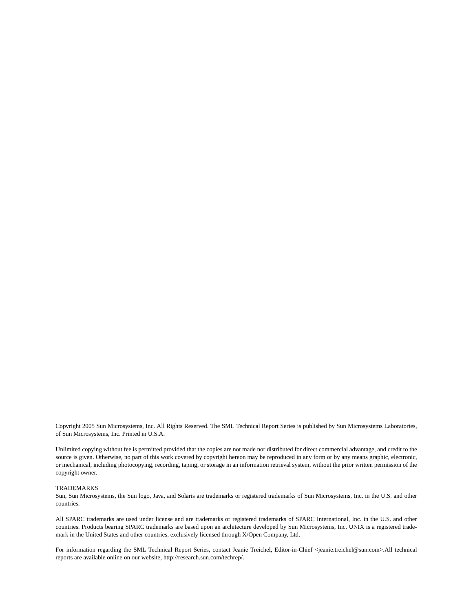Copyright 2005 Sun Microsystems, Inc. All Rights Reserved. The SML Technical Report Series is published by Sun Microsystems Laboratories, of Sun Microsystems, Inc. Printed in U.S.A.

Unlimited copying without fee is permitted provided that the copies are not made nor distributed for direct commercial advantage, and credit to the source is given. Otherwise, no part of this work covered by copyright hereon may be reproduced in any form or by any means graphic, electronic, or mechanical, including photocopying, recording, taping, or storage in an information retrieval system, without the prior written permission of the copyright owner.

#### TRADEMARKS

Sun, Sun Microsystems, the Sun logo, Java, and Solaris are trademarks or registered trademarks of Sun Microsystems, Inc. in the U.S. and other countries.

All SPARC trademarks are used under license and are trademarks or registered trademarks of SPARC International, Inc. in the U.S. and other countries. Products bearing SPARC trademarks are based upon an architecture developed by Sun Microsystems, Inc. UNIX is a registered trademark in the United States and other countries, exclusively licensed through X/Open Company, Ltd.

For information regarding the SML Technical Report Series, contact Jeanie Treichel, Editor-in-Chief <jeanie.treichel@sun.com>.All technical reports are available online on our website, http://research.sun.com/techrep/.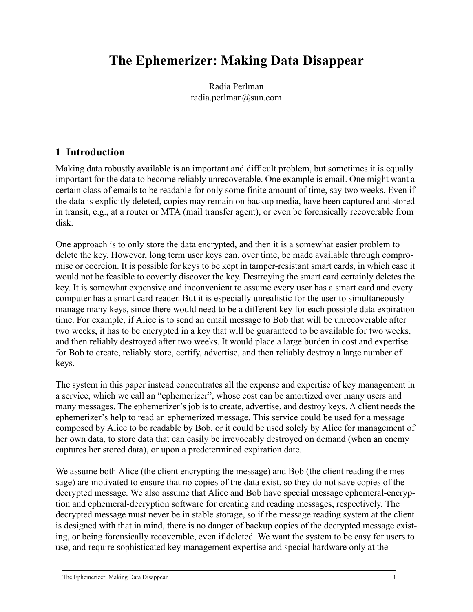# **The Ephemerizer: Making Data Disappear**

Radia Perlman radia.perlman@sun.com

#### **1 Introduction**

Making data robustly available is an important and difficult problem, but sometimes it is equally important for the data to become reliably unrecoverable. One example is email. One might want a certain class of emails to be readable for only some finite amount of time, say two weeks. Even if the data is explicitly deleted, copies may remain on backup media, have been captured and stored in transit, e.g., at a router or MTA (mail transfer agent), or even be forensically recoverable from disk.

One approach is to only store the data encrypted, and then it is a somewhat easier problem to delete the key. However, long term user keys can, over time, be made available through compromise or coercion. It is possible for keys to be kept in tamper-resistant smart cards, in which case it would not be feasible to covertly discover the key. Destroying the smart card certainly deletes the key. It is somewhat expensive and inconvenient to assume every user has a smart card and every computer has a smart card reader. But it is especially unrealistic for the user to simultaneously manage many keys, since there would need to be a different key for each possible data expiration time. For example, if Alice is to send an email message to Bob that will be unrecoverable after two weeks, it has to be encrypted in a key that will be guaranteed to be available for two weeks, and then reliably destroyed after two weeks. It would place a large burden in cost and expertise for Bob to create, reliably store, certify, advertise, and then reliably destroy a large number of keys.

The system in this paper instead concentrates all the expense and expertise of key management in a service, which we call an "ephemerizer", whose cost can be amortized over many users and many messages. The ephemerizer's job is to create, advertise, and destroy keys. A client needs the ephemerizer's help to read an ephemerized message. This service could be used for a message composed by Alice to be readable by Bob, or it could be used solely by Alice for management of her own data, to store data that can easily be irrevocably destroyed on demand (when an enemy captures her stored data), or upon a predetermined expiration date.

We assume both Alice (the client encrypting the message) and Bob (the client reading the message) are motivated to ensure that no copies of the data exist, so they do not save copies of the decrypted message. We also assume that Alice and Bob have special message ephemeral-encryption and ephemeral-decryption software for creating and reading messages, respectively. The decrypted message must never be in stable storage, so if the message reading system at the client is designed with that in mind, there is no danger of backup copies of the decrypted message existing, or being forensically recoverable, even if deleted. We want the system to be easy for users to use, and require sophisticated key management expertise and special hardware only at the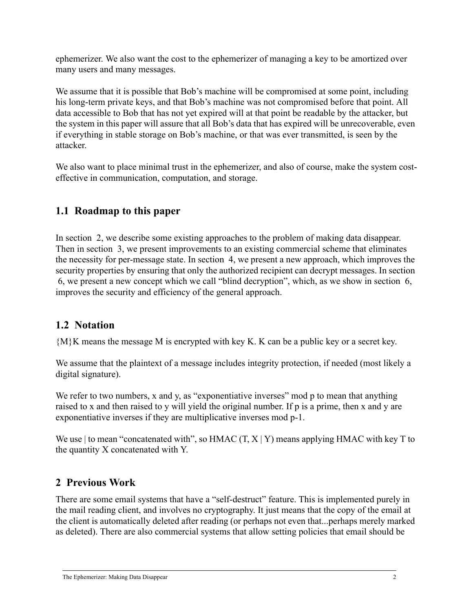ephemerizer. We also want the cost to the ephemerizer of managing a key to be amortized over many users and many messages.

We assume that it is possible that Bob's machine will be compromised at some point, including his long-term private keys, and that Bob's machine was not compromised before that point. All data accessible to Bob that has not yet expired will at that point be readable by the attacker, but the system in this paper will assure that all Bob's data that has expired will be unrecoverable, even if everything in stable storage on Bob's machine, or that was ever transmitted, is seen by the attacker.

We also want to place minimal trust in the ephemerizer, and also of course, make the system costeffective in communication, computation, and storage.

## **1.1 Roadmap to this paper**

In [section 2,](#page-4-0) we describe some existing approaches to the problem of making data disappear. Then in [section 3,](#page-5-0) we present improvements to an existing commercial scheme that eliminates the necessity for per-message state. In [section 4](#page-7-0), we present a new approach, which improves the security properties by ensuring that only the authorized recipient can decrypt messages. In [section](#page-14-0)  [6,](#page-14-0) we present a new concept which we call "blind decryption", which, as we show in [section 6](#page-14-0), improves the security and efficiency of the general approach.

#### **1.2 Notation**

{M}K means the message M is encrypted with key K. K can be a public key or a secret key.

We assume that the plaintext of a message includes integrity protection, if needed (most likely a digital signature).

We refer to two numbers, x and y, as "exponentiative inverses" mod p to mean that anything raised to x and then raised to y will yield the original number. If p is a prime, then x and y are exponentiative inverses if they are multiplicative inverses mod p-1.

We use | to mean "concatenated with", so  $HMAC(T, X | Y)$  means applying  $HMAC$  with key T to the quantity X concatenated with Y.

#### <span id="page-4-0"></span>**2 Previous Work**

There are some email systems that have a "self-destruct" feature. This is implemented purely in the mail reading client, and involves no cryptography. It just means that the copy of the email at the client is automatically deleted after reading (or perhaps not even that...perhaps merely marked as deleted). There are also commercial systems that allow setting policies that email should be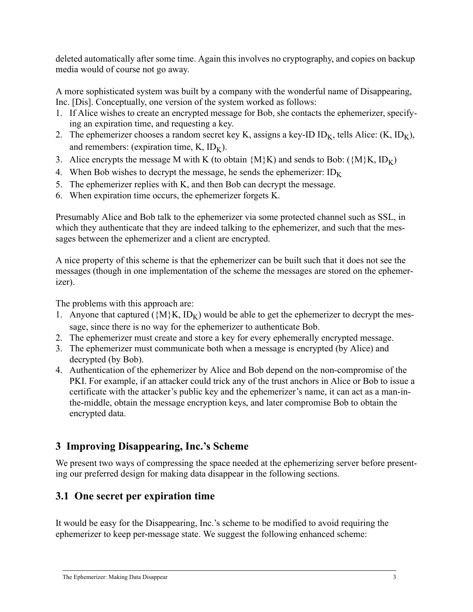deleted automatically after some time. Again this involves no cryptography, and copies on backup media would of course not go away.

A more sophisticated system was built by a company with the wonderful name of Disappearing, Inc. [Dis]. Conceptually, one version of the system worked as follows:

- 1. If Alice wishes to create an encrypted message for Bob, she contacts the ephemerizer, specifying an expiration time, and requesting a key.
- 2. The ephemerizer chooses a random secret key K, assigns a key-ID ID<sub>K</sub>, tells Alice:  $(K, ID_K)$ , and remembers: (expiration time,  $K$ ,  $ID_K$ ).
- 3. Alice encrypts the message M with K (to obtain  $\{M\}K$ ) and sends to Bob:  $(\{M\}K, ID_K)$
- 4. When Bob wishes to decrypt the message, he sends the ephemerizer:  $ID_K$
- 5. The ephemerizer replies with K, and then Bob can decrypt the message.
- 6. When expiration time occurs, the ephemerizer forgets K.

Presumably Alice and Bob talk to the ephemerizer via some protected channel such as SSL, in which they authenticate that they are indeed talking to the ephemerizer, and such that the messages between the ephemerizer and a client are encrypted.

A nice property of this scheme is that the ephemerizer can be built such that it does not see the messages (though in one implementation of the scheme the messages are stored on the ephemerizer).

The problems with this approach are:

- 1. Anyone that captured ( $\{M\}K$ ,  $ID_K$ ) would be able to get the ephemerizer to decrypt the message, since there is no way for the ephemerizer to authenticate Bob.
- 2. The ephemerizer must create and store a key for every ephemerally encrypted message.
- 3. The ephemerizer must communicate both when a message is encrypted (by Alice) and decrypted (by Bob).
- 4. Authentication of the ephemerizer by Alice and Bob depend on the non-compromise of the PKI. For example, if an attacker could trick any of the trust anchors in Alice or Bob to issue a certificate with the attacker's public key and the ephemerizer's name, it can act as a man-inthe-middle, obtain the message encryption keys, and later compromise Bob to obtain the encrypted data.

# <span id="page-5-0"></span>**3 Improving Disappearing, Inc.'s Scheme**

We present two ways of compressing the space needed at the ephemerizing server before presenting our preferred design for making data disappear in the following sections.

# **3.1 One secret per expiration time**

It would be easy for the Disappearing, Inc.'s scheme to be modified to avoid requiring the ephemerizer to keep per-message state. We suggest the following enhanced scheme: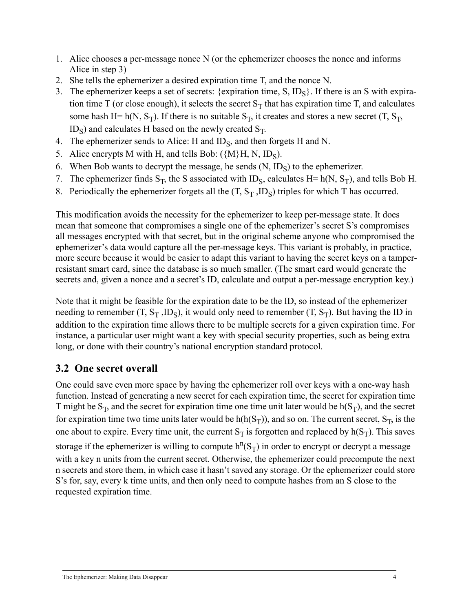- 1. Alice chooses a per-message nonce N (or the ephemerizer chooses the nonce and informs Alice in step 3)
- 2. She tells the ephemerizer a desired expiration time T, and the nonce N.
- 3. The ephemerizer keeps a set of secrets: {expiration time,  $S$ ,  $ID_S$ }. If there is an S with expiration time T (or close enough), it selects the secret  $S_T$  that has expiration time T, and calculates some hash H= h(N, S<sub>T</sub>). If there is no suitable  $S_T$ , it creates and stores a new secret (T, S<sub>T</sub>,  $ID_S$ ) and calculates H based on the newly created  $S_T$ .
- 4. The ephemerizer sends to Alice: H and  $ID_S$ , and then forgets H and N.
- 5. Alice encrypts M with H, and tells Bob:  $({M}H, N, ID<sub>S</sub>)$ .
- 6. When Bob wants to decrypt the message, he sends  $(N, ID<sub>S</sub>)$  to the ephemerizer.
- 7. The ephemerizer finds  $S_T$ , the S associated with ID<sub>S</sub>, calculates H= h(N, S<sub>T</sub>), and tells Bob H.
- 8. Periodically the ephemerizer forgets all the  $(T, S_T, ID_S)$  triples for which T has occurred.

This modification avoids the necessity for the ephemerizer to keep per-message state. It does mean that someone that compromises a single one of the ephemerizer's secret S's compromises all messages encrypted with that secret, but in the original scheme anyone who compromised the ephemerizer's data would capture all the per-message keys. This variant is probably, in practice, more secure because it would be easier to adapt this variant to having the secret keys on a tamperresistant smart card, since the database is so much smaller. (The smart card would generate the secrets and, given a nonce and a secret's ID, calculate and output a per-message encryption key.)

Note that it might be feasible for the expiration date to be the ID, so instead of the ephemerizer needing to remember  $(T, S_T, ID_S)$ , it would only need to remember  $(T, S_T)$ . But having the ID in addition to the expiration time allows there to be multiple secrets for a given expiration time. For instance, a particular user might want a key with special security properties, such as being extra long, or done with their country's national encryption standard protocol.

# **3.2 One secret overall**

One could save even more space by having the ephemerizer roll over keys with a one-way hash function. Instead of generating a new secret for each expiration time, the secret for expiration time T might be  $S_T$ , and the secret for expiration time one time unit later would be  $h(S_T)$ , and the secret for expiration time two time units later would be  $h(h(S_T))$ , and so on. The current secret,  $S_T$ , is the one about to expire. Every time unit, the current  $S_T$  is forgotten and replaced by  $h(S_T)$ . This saves storage if the ephemerizer is willing to compute  $h^{n}(S_T)$  in order to encrypt or decrypt a message with a key n units from the current secret. Otherwise, the ephemerizer could precompute the next n secrets and store them, in which case it hasn't saved any storage. Or the ephemerizer could store S's for, say, every k time units, and then only need to compute hashes from an S close to the requested expiration time.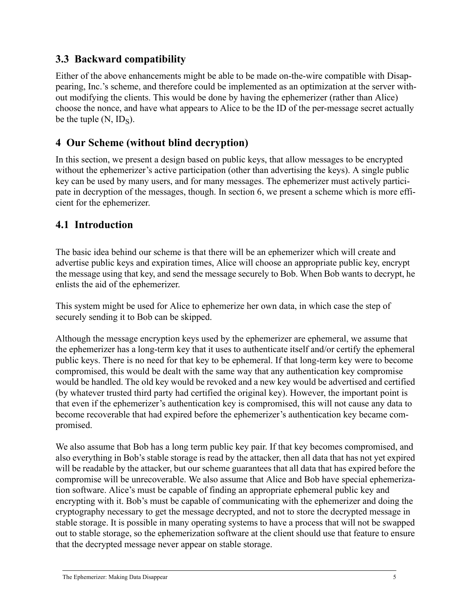## **3.3 Backward compatibility**

Either of the above enhancements might be able to be made on-the-wire compatible with Disappearing, Inc.'s scheme, and therefore could be implemented as an optimization at the server without modifying the clients. This would be done by having the ephemerizer (rather than Alice) choose the nonce, and have what appears to Alice to be the ID of the per-message secret actually be the tuple  $(N, ID<sub>S</sub>)$ .

## <span id="page-7-0"></span>**4 Our Scheme (without blind decryption)**

In this section, we present a design based on public keys, that allow messages to be encrypted without the ephemerizer's active participation (other than advertising the keys). A single public key can be used by many users, and for many messages. The ephemerizer must actively participate in decryption of the messages, though. In section [6,](#page-14-0) we present a scheme which is more efficient for the ephemerizer.

## **4.1 Introduction**

The basic idea behind our scheme is that there will be an ephemerizer which will create and advertise public keys and expiration times, Alice will choose an appropriate public key, encrypt the message using that key, and send the message securely to Bob. When Bob wants to decrypt, he enlists the aid of the ephemerizer.

This system might be used for Alice to ephemerize her own data, in which case the step of securely sending it to Bob can be skipped.

Although the message encryption keys used by the ephemerizer are ephemeral, we assume that the ephemerizer has a long-term key that it uses to authenticate itself and/or certify the ephemeral public keys. There is no need for that key to be ephemeral. If that long-term key were to become compromised, this would be dealt with the same way that any authentication key compromise would be handled. The old key would be revoked and a new key would be advertised and certified (by whatever trusted third party had certified the original key). However, the important point is that even if the ephemerizer's authentication key is compromised, this will not cause any data to become recoverable that had expired before the ephemerizer's authentication key became compromised.

We also assume that Bob has a long term public key pair. If that key becomes compromised, and also everything in Bob's stable storage is read by the attacker, then all data that has not yet expired will be readable by the attacker, but our scheme guarantees that all data that has expired before the compromise will be unrecoverable. We also assume that Alice and Bob have special ephemerization software. Alice's must be capable of finding an appropriate ephemeral public key and encrypting with it. Bob's must be capable of communicating with the ephemerizer and doing the cryptography necessary to get the message decrypted, and not to store the decrypted message in stable storage. It is possible in many operating systems to have a process that will not be swapped out to stable storage, so the ephemerization software at the client should use that feature to ensure that the decrypted message never appear on stable storage.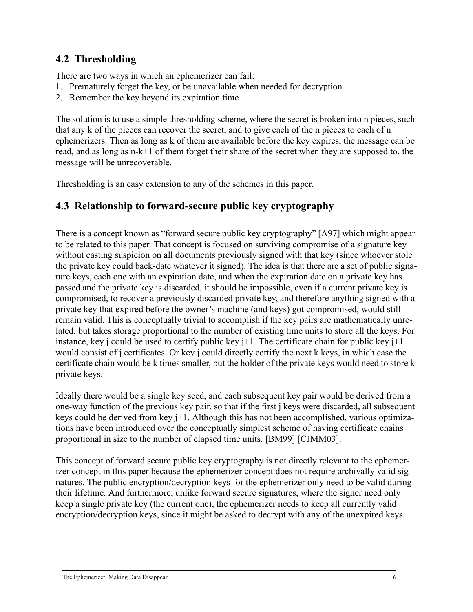#### **4.2 Thresholding**

There are two ways in which an ephemerizer can fail:

- 1. Prematurely forget the key, or be unavailable when needed for decryption
- 2. Remember the key beyond its expiration time

The solution is to use a simple thresholding scheme, where the secret is broken into n pieces, such that any k of the pieces can recover the secret, and to give each of the n pieces to each of n ephemerizers. Then as long as k of them are available before the key expires, the message can be read, and as long as n-k+1 of them forget their share of the secret when they are supposed to, the message will be unrecoverable.

Thresholding is an easy extension to any of the schemes in this paper.

#### <span id="page-8-0"></span>**4.3 Relationship to forward-secure public key cryptography**

There is a concept known as "forward secure public key cryptography" [A97] which might appear to be related to this paper. That concept is focused on surviving compromise of a signature key without casting suspicion on all documents previously signed with that key (since whoever stole the private key could back-date whatever it signed). The idea is that there are a set of public signature keys, each one with an expiration date, and when the expiration date on a private key has passed and the private key is discarded, it should be impossible, even if a current private key is compromised, to recover a previously discarded private key, and therefore anything signed with a private key that expired before the owner's machine (and keys) got compromised, would still remain valid. This is conceptually trivial to accomplish if the key pairs are mathematically unrelated, but takes storage proportional to the number of existing time units to store all the keys. For instance, key j could be used to certify public key j+1. The certificate chain for public key j+1 would consist of j certificates. Or key j could directly certify the next k keys, in which case the certificate chain would be k times smaller, but the holder of the private keys would need to store k private keys.

Ideally there would be a single key seed, and each subsequent key pair would be derived from a one-way function of the previous key pair, so that if the first j keys were discarded, all subsequent keys could be derived from key j+1. Although this has not been accomplished, various optimizations have been introduced over the conceptually simplest scheme of having certificate chains proportional in size to the number of elapsed time units. [BM99] [CJMM03].

This concept of forward secure public key cryptography is not directly relevant to the ephemerizer concept in this paper because the ephemerizer concept does not require archivally valid signatures. The public encryption/decryption keys for the ephemerizer only need to be valid during their lifetime. And furthermore, unlike forward secure signatures, where the signer need only keep a single private key (the current one), the ephemerizer needs to keep all currently valid encryption/decryption keys, since it might be asked to decrypt with any of the unexpired keys.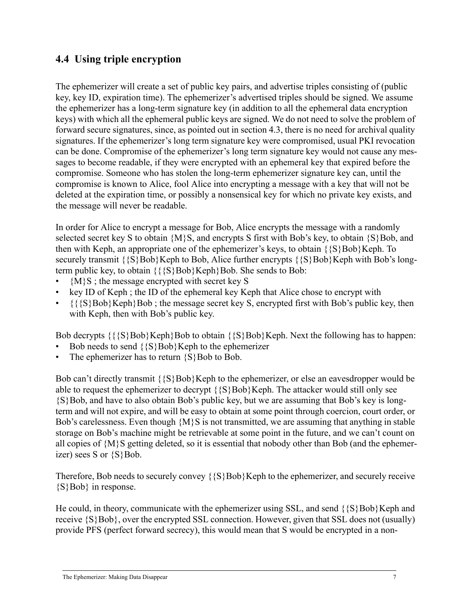#### **4.4 Using triple encryption**

The ephemerizer will create a set of public key pairs, and advertise triples consisting of (public key, key ID, expiration time). The ephemerizer's advertised triples should be signed. We assume the ephemerizer has a long-term signature key (in addition to all the ephemeral data encryption keys) with which all the ephemeral public keys are signed. We do not need to solve the problem of forward secure signatures, since, as pointed out in section [4.3](#page-8-0), there is no need for archival quality signatures. If the ephemerizer's long term signature key were compromised, usual PKI revocation can be done. Compromise of the ephemerizer's long term signature key would not cause any messages to become readable, if they were encrypted with an ephemeral key that expired before the compromise. Someone who has stolen the long-term ephemerizer signature key can, until the compromise is known to Alice, fool Alice into encrypting a message with a key that will not be deleted at the expiration time, or possibly a nonsensical key for which no private key exists, and the message will never be readable.

In order for Alice to encrypt a message for Bob, Alice encrypts the message with a randomly selected secret key S to obtain  $\{M\}S$ , and encrypts S first with Bob's key, to obtain  $\{S\}$ Bob, and then with Keph, an appropriate one of the ephemerizer's keys, to obtain  $\{S\}Bob\}Keph$ . To securely transmit  $\{S\}Bob\}Keph$  to Bob, Alice further encrypts  $\{S\}Bob\}Keph$  with Bob's longterm public key, to obtain  $\{\{\S\}Bob\}Keph\}Bob$ . She sends to Bob:

- ${M}{S}$ ; the message encrypted with secret key S
- key ID of Keph ; the ID of the ephemeral key Keph that Alice chose to encrypt with
- $\{\{\S\}\}$ Bob $\}$ Keph $\}$ Bob; the message secret key S, encrypted first with Bob's public key, then with Keph, then with Bob's public key.

Bob decrypts  $\{\S\}Bob\}Keph\}Bob$  to obtain  $\{S\}Bob\}Keph$ . Next the following has to happen:

- Bob needs to send  $\{S\}Bob\}Keph$  to the ephemerizer
- The ephemerizer has to return  $\{S\}$ Bob to Bob.

Bob can't directly transmit  $\{S\}Bob\}Keph$  to the ephemerizer, or else an eavesdropper would be able to request the ephemerizer to decrypt  $\{S\}Bob\}Keph$ . The attacker would still only see {S}Bob, and have to also obtain Bob's public key, but we are assuming that Bob's key is longterm and will not expire, and will be easy to obtain at some point through coercion, court order, or Bob's carelessness. Even though {M}S is not transmitted, we are assuming that anything in stable storage on Bob's machine might be retrievable at some point in the future, and we can't count on all copies of {M}S getting deleted, so it is essential that nobody other than Bob (and the ephemerizer) sees S or  $\{S\}Bob$ .

Therefore, Bob needs to securely convey  $\{S\}Bob\}Keph$  to the ephemerizer, and securely receive {S}Bob} in response.

He could, in theory, communicate with the ephemerizer using SSL, and send  $\{S\}Bob\Keph$  and receive {S}Bob}, over the encrypted SSL connection. However, given that SSL does not (usually) provide PFS (perfect forward secrecy), this would mean that S would be encrypted in a non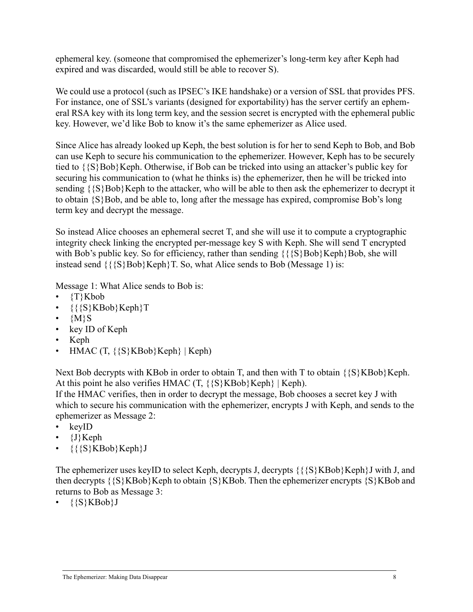ephemeral key. (someone that compromised the ephemerizer's long-term key after Keph had expired and was discarded, would still be able to recover S).

We could use a protocol (such as IPSEC's IKE handshake) or a version of SSL that provides PFS. For instance, one of SSL's variants (designed for exportability) has the server certify an ephemeral RSA key with its long term key, and the session secret is encrypted with the ephemeral public key. However, we'd like Bob to know it's the same ephemerizer as Alice used.

Since Alice has already looked up Keph, the best solution is for her to send Keph to Bob, and Bob can use Keph to secure his communication to the ephemerizer. However, Keph has to be securely tied to  $\{S\}Bob\}Keph.$  Otherwise, if Bob can be tricked into using an attacker's public key for securing his communication to (what he thinks is) the ephemerizer, then he will be tricked into sending  $\{S\}Bob\}Keph$  to the attacker, who will be able to then ask the ephemerizer to decrypt it to obtain  $\{S\}$ Bob, and be able to, long after the message has expired, compromise Bob's long term key and decrypt the message.

So instead Alice chooses an ephemeral secret T, and she will use it to compute a cryptographic integrity check linking the encrypted per-message key S with Keph. She will send T encrypted with Bob's public key. So for efficiency, rather than sending  $\{\{\S\}Bob\}Keph\}Bob$ , she will instead send  $\{\{\S\}Bob\}Keph\}T$ . So, what Alice sends to Bob (Message 1) is:

Message 1: What Alice sends to Bob is:

- $\{T\}Kbob$
- $({S}KBob\Keph)T$
- ${M}$ S
- key ID of Keph
- Keph
- HMAC (T, {{S}KBob}Keph} | Keph)

Next Bob decrypts with KBob in order to obtain T, and then with T to obtain  $\{S\}KBob\}Keph$ . At this point he also verifies HMAC  $(T, \{S\}KBob\}Keph\}$  | Keph).

If the HMAC verifies, then in order to decrypt the message, Bob chooses a secret key J with which to secure his communication with the ephemerizer, encrypts J with Keph, and sends to the ephemerizer as Message 2:

- keyID
- {J}Keph
- $\{\{\{S\}KBob\}Keph\}J$

The ephemerizer uses keyID to select Keph, decrypts J, decrypts  $\{\{\S\}\$  KBob $\}$  Keph $\}$ J with J, and then decrypts  $\{S\}KBob\}Keph$  to obtain  $\{S\}KBob$ . Then the ephemerizer encrypts  $\{S\}KBob$  and returns to Bob as Message 3:

 $\{ \{ S \} KBob \} J$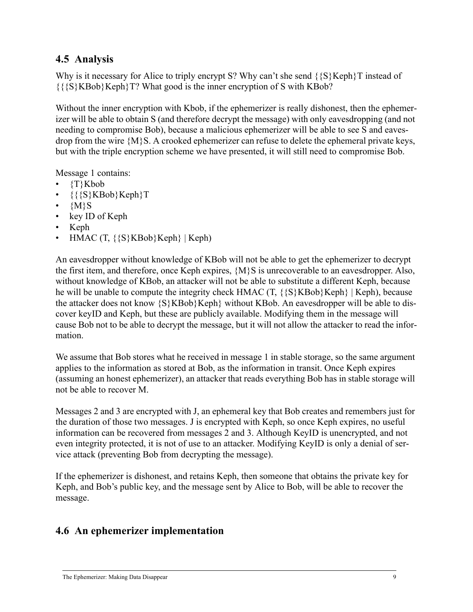## **4.5 Analysis**

Why is it necessary for Alice to triply encrypt S? Why can't she send  $\{S\}Keph\}T$  instead of {{{S}KBob}Keph}T? What good is the inner encryption of S with KBob?

Without the inner encryption with Kbob, if the ephemerizer is really dishonest, then the ephemerizer will be able to obtain S (and therefore decrypt the message) with only eavesdropping (and not needing to compromise Bob), because a malicious ephemerizer will be able to see S and eavesdrop from the wire {M}S. A crooked ephemerizer can refuse to delete the ephemeral private keys, but with the triple encryption scheme we have presented, it will still need to compromise Bob.

Message 1 contains:

- {T}Kbob
- {{{S}KBob}Keph}T
- $\cdot$  {M}S
- key ID of Keph
- Keph
- HMAC  $(T, \{\{S\}KBob\}Keph\} | Keph)$

An eavesdropper without knowledge of KBob will not be able to get the ephemerizer to decrypt the first item, and therefore, once Keph expires, {M}S is unrecoverable to an eavesdropper. Also, without knowledge of KBob, an attacker will not be able to substitute a different Keph, because he will be unable to compute the integrity check HMAC  $(T, \{S\}KBob\}Keph)$  | Keph), because the attacker does not know  $\{S\}KBob\}Keph\}$  without KBob. An eavesdropper will be able to discover keyID and Keph, but these are publicly available. Modifying them in the message will cause Bob not to be able to decrypt the message, but it will not allow the attacker to read the information.

We assume that Bob stores what he received in message 1 in stable storage, so the same argument applies to the information as stored at Bob, as the information in transit. Once Keph expires (assuming an honest ephemerizer), an attacker that reads everything Bob has in stable storage will not be able to recover M.

Messages 2 and 3 are encrypted with J, an ephemeral key that Bob creates and remembers just for the duration of those two messages. J is encrypted with Keph, so once Keph expires, no useful information can be recovered from messages 2 and 3. Although KeyID is unencrypted, and not even integrity protected, it is not of use to an attacker. Modifying KeyID is only a denial of service attack (preventing Bob from decrypting the message).

If the ephemerizer is dishonest, and retains Keph, then someone that obtains the private key for Keph, and Bob's public key, and the message sent by Alice to Bob, will be able to recover the message.

# **4.6 An ephemerizer implementation**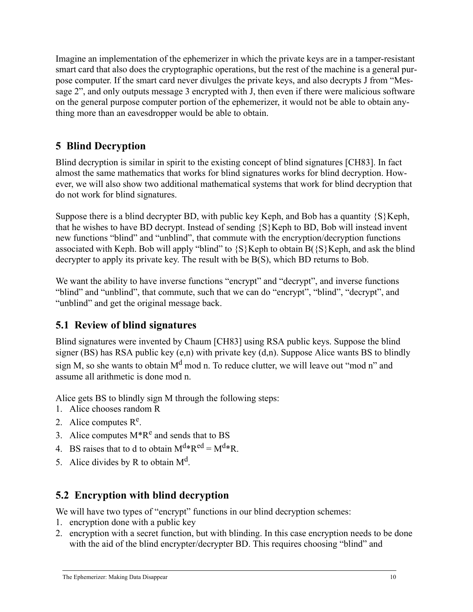Imagine an implementation of the ephemerizer in which the private keys are in a tamper-resistant smart card that also does the cryptographic operations, but the rest of the machine is a general purpose computer. If the smart card never divulges the private keys, and also decrypts J from "Message 2", and only outputs message 3 encrypted with J, then even if there were malicious software on the general purpose computer portion of the ephemerizer, it would not be able to obtain anything more than an eavesdropper would be able to obtain.

# **5 Blind Decryption**

Blind decryption is similar in spirit to the existing concept of blind signatures [CH83]. In fact almost the same mathematics that works for blind signatures works for blind decryption. However, we will also show two additional mathematical systems that work for blind decryption that do not work for blind signatures.

Suppose there is a blind decrypter BD, with public key Keph, and Bob has a quantity  $\{S\}$ Keph, that he wishes to have BD decrypt. Instead of sending  $\{S\}$  Keph to BD, Bob will instead invent new functions "blind" and "unblind", that commute with the encryption/decryption functions associated with Keph. Bob will apply "blind" to  $\{S\}$  Keph to obtain B $(\{S\}$  Keph, and ask the blind decrypter to apply its private key. The result with be B(S), which BD returns to Bob.

We want the ability to have inverse functions "encrypt" and "decrypt", and inverse functions "blind" and "unblind", that commute, such that we can do "encrypt", "blind", "decrypt", and "unblind" and get the original message back.

# **5.1 Review of blind signatures**

Blind signatures were invented by Chaum [CH83] using RSA public keys. Suppose the blind signer (BS) has RSA public key  $(e, n)$  with private key  $(d, n)$ . Suppose Alice wants BS to blindly sign M, so she wants to obtain  $M<sup>d</sup>$  mod n. To reduce clutter, we will leave out "mod n" and assume all arithmetic is done mod n.

Alice gets BS to blindly sign M through the following steps:

- 1. Alice chooses random R
- 2. Alice computes  $R^e$ .
- 3. Alice computes  $M^*R^e$  and sends that to BS
- 4. BS raises that to d to obtain  $M^{d*}R^{ed} = M^{d*}R$ .
- 5. Alice divides by R to obtain  $M<sup>d</sup>$ .

# **5.2 Encryption with blind decryption**

We will have two types of "encrypt" functions in our blind decryption schemes:

- 1. encryption done with a public key
- 2. encryption with a secret function, but with blinding. In this case encryption needs to be done with the aid of the blind encrypter/decrypter BD. This requires choosing "blind" and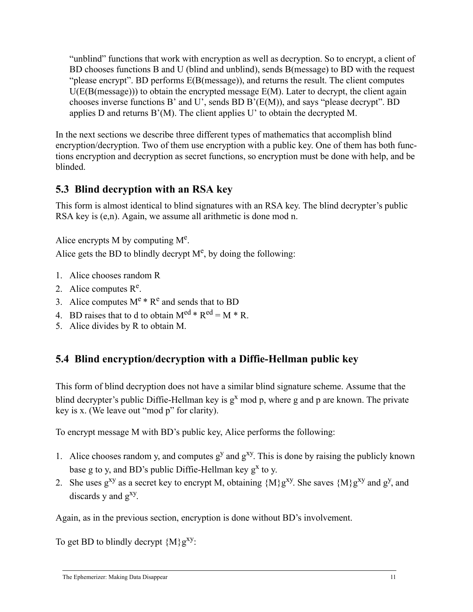"unblind" functions that work with encryption as well as decryption. So to encrypt, a client of BD chooses functions B and U (blind and unblind), sends B(message) to BD with the request "please encrypt". BD performs E(B(message)), and returns the result. The client computes  $U(E(B(m \text{essage})))$  to obtain the encrypted message  $E(M)$ . Later to decrypt, the client again chooses inverse functions B' and U', sends BD B'(E(M)), and says "please decrypt". BD applies D and returns B'(M). The client applies U' to obtain the decrypted M.

In the next sections we describe three different types of mathematics that accomplish blind encryption/decryption. Two of them use encryption with a public key. One of them has both functions encryption and decryption as secret functions, so encryption must be done with help, and be blinded.

## **5.3 Blind decryption with an RSA key**

This form is almost identical to blind signatures with an RSA key. The blind decrypter's public RSA key is (e,n). Again, we assume all arithmetic is done mod n.

Alice encrypts  $M$  by computing  $M<sup>e</sup>$ .

Alice gets the BD to blindly decrypt  $M<sup>e</sup>$ , by doing the following:

- 1. Alice chooses random R
- 2. Alice computes  $R^e$ .
- 3. Alice computes  $M^e * R^e$  and sends that to BD
- 4. BD raises that to d to obtain  $M^{ed} * R^{ed} = M * R$ .
- 5. Alice divides by R to obtain M.

# **5.4 Blind encryption/decryption with a Diffie-Hellman public key**

This form of blind decryption does not have a similar blind signature scheme. Assume that the blind decrypter's public Diffie-Hellman key is  $g<sup>x</sup>$  mod p, where g and p are known. The private key is x. (We leave out "mod p" for clarity).

To encrypt message M with BD's public key, Alice performs the following:

- 1. Alice chooses random y, and computes  $g<sup>y</sup>$  and  $g<sup>xy</sup>$ . This is done by raising the publicly known base g to y, and BD's public Diffie-Hellman key  $g^x$  to y.
- 2. She uses  $g^{xy}$  as a secret key to encrypt M, obtaining  ${M}g^{xy}$ . She saves  ${M}g^{xy}$  and  $g^{y}$ , and discards  $y$  and  $g^{xy}$ .

Again, as in the previous section, encryption is done without BD's involvement.

To get BD to blindly decrypt  ${M}_{g}^{xy}$ :

The Ephemerizer: Making Data Disappear 11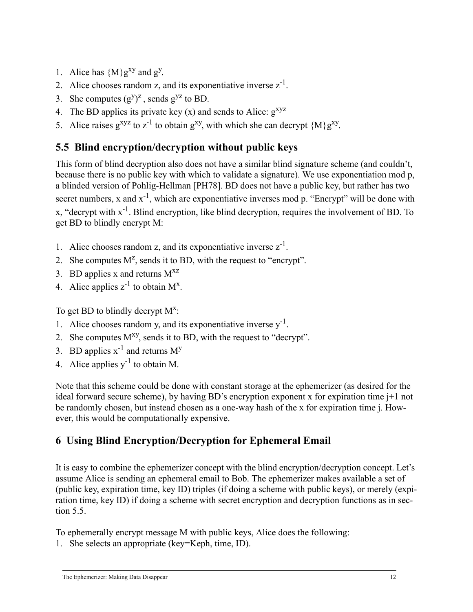- 1. Alice has  ${M}g^{xy}$  and  $g^y$ .
- 2. Alice chooses random z, and its exponentiative inverse  $z^{-1}$ .
- 3. She computes  $(g<sup>y</sup>)<sup>z</sup>$ , sends  $g<sup>yz</sup>$  to BD.
- 4. The BD applies its private key  $(x)$  and sends to Alice:  $g^{xyz}$
- 5. Alice raises  $g^{xyz}$  to  $z^{-1}$  to obtain  $g^{xy}$ , with which she can decrypt  ${M}g^{xy}$ .

# <span id="page-14-1"></span>**5.5 Blind encryption/decryption without public keys**

This form of blind decryption also does not have a similar blind signature scheme (and couldn't, because there is no public key with which to validate a signature). We use exponentiation mod p, a blinded version of Pohlig-Hellman [PH78]. BD does not have a public key, but rather has two secret numbers, x and  $x^{-1}$ , which are exponentiative inverses mod p. "Encrypt" will be done with x, "decrypt with x-1. Blind encryption, like blind decryption, requires the involvement of BD. To get BD to blindly encrypt M:

- 1. Alice chooses random z, and its exponentiative inverse  $z^{-1}$ .
- 2. She computes  $M^z$ , sends it to BD, with the request to "encrypt".
- 3. BD applies x and returns  $M^{XZ}$
- 4. Alice applies  $z^{-1}$  to obtain  $M^x$ .

To get BD to blindly decrypt  $M^x$ :

- 1. Alice chooses random y, and its exponentiative inverse  $v^{-1}$ .
- 2. She computes  $M^{xy}$ , sends it to BD, with the request to "decrypt".
- 3. BD applies  $x^{-1}$  and returns  $M<sup>y</sup>$
- 4. Alice applies  $y^{-1}$  to obtain M.

Note that this scheme could be done with constant storage at the ephemerizer (as desired for the ideal forward secure scheme), by having BD's encryption exponent x for expiration time j+1 not be randomly chosen, but instead chosen as a one-way hash of the x for expiration time j. However, this would be computationally expensive.

# <span id="page-14-0"></span>**6 Using Blind Encryption/Decryption for Ephemeral Email**

It is easy to combine the ephemerizer concept with the blind encryption/decryption concept. Let's assume Alice is sending an ephemeral email to Bob. The ephemerizer makes available a set of (public key, expiration time, key ID) triples (if doing a scheme with public keys), or merely (expiration time, key ID) if doing a scheme with secret encryption and decryption functions as in section [5.5.](#page-14-1)

To ephemerally encrypt message M with public keys, Alice does the following:

1. She selects an appropriate (key=Keph, time, ID).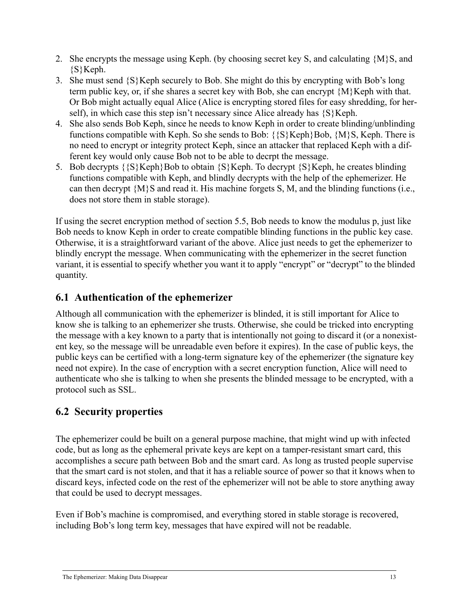- 2. She encrypts the message using Keph. (by choosing secret key S, and calculating {M}S, and {S}Keph.
- 3. She must send {S}Keph securely to Bob. She might do this by encrypting with Bob's long term public key, or, if she shares a secret key with Bob, she can encrypt {M}Keph with that. Or Bob might actually equal Alice (Alice is encrypting stored files for easy shredding, for herself), in which case this step isn't necessary since Alice already has  $\{S\}$ Keph.
- 4. She also sends Bob Keph, since he needs to know Keph in order to create blinding/unblinding functions compatible with Keph. So she sends to Bob:  $\{S\}Keph\}Bob$ ,  $\{M\}S$ , Keph. There is no need to encrypt or integrity protect Keph, since an attacker that replaced Keph with a different key would only cause Bob not to be able to decrpt the message.
- 5. Bob decrypts  $\{S\}$ Keph}Bob to obtain  $\{S\}$ Keph. To decrypt  $\{S\}$ Keph, he creates blinding functions compatible with Keph, and blindly decrypts with the help of the ephemerizer. He can then decrypt {M}S and read it. His machine forgets S, M, and the blinding functions (i.e., does not store them in stable storage).

If using the secret encryption method of section [5.5,](#page-14-1) Bob needs to know the modulus p, just like Bob needs to know Keph in order to create compatible blinding functions in the public key case. Otherwise, it is a straightforward variant of the above. Alice just needs to get the ephemerizer to blindly encrypt the message. When communicating with the ephemerizer in the secret function variant, it is essential to specify whether you want it to apply "encrypt" or "decrypt" to the blinded quantity.

#### **6.1 Authentication of the ephemerizer**

Although all communication with the ephemerizer is blinded, it is still important for Alice to know she is talking to an ephemerizer she trusts. Otherwise, she could be tricked into encrypting the message with a key known to a party that is intentionally not going to discard it (or a nonexistent key, so the message will be unreadable even before it expires). In the case of public keys, the public keys can be certified with a long-term signature key of the ephemerizer (the signature key need not expire). In the case of encryption with a secret encryption function, Alice will need to authenticate who she is talking to when she presents the blinded message to be encrypted, with a protocol such as SSL.

# **6.2 Security properties**

The ephemerizer could be built on a general purpose machine, that might wind up with infected code, but as long as the ephemeral private keys are kept on a tamper-resistant smart card, this accomplishes a secure path between Bob and the smart card. As long as trusted people supervise that the smart card is not stolen, and that it has a reliable source of power so that it knows when to discard keys, infected code on the rest of the ephemerizer will not be able to store anything away that could be used to decrypt messages.

Even if Bob's machine is compromised, and everything stored in stable storage is recovered, including Bob's long term key, messages that have expired will not be readable.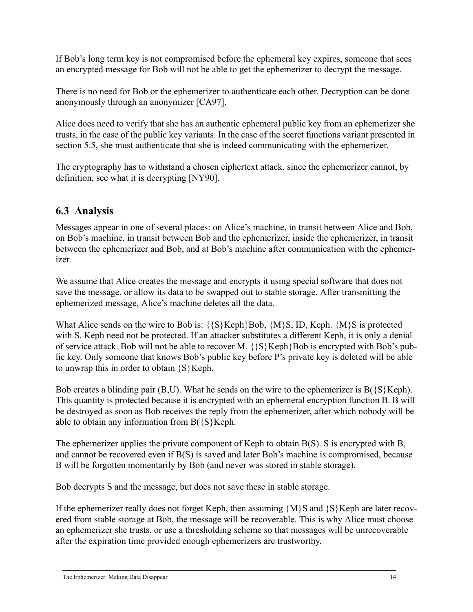If Bob's long term key is not compromised before the ephemeral key expires, someone that sees an encrypted message for Bob will not be able to get the ephemerizer to decrypt the message.

There is no need for Bob or the ephemerizer to authenticate each other. Decryption can be done anonymously through an anonymizer [CA97].

Alice does need to verify that she has an authentic ephemeral public key from an ephemerizer she trusts, in the case of the public key variants. In the case of the secret functions variant presented in section [5.5,](#page-14-1) she must authenticate that she is indeed communicating with the ephemerizer.

The cryptography has to withstand a chosen ciphertext attack, since the ephemerizer cannot, by definition, see what it is decrypting [NY90].

## **6.3 Analysis**

Messages appear in one of several places: on Alice's machine, in transit between Alice and Bob, on Bob's machine, in transit between Bob and the ephemerizer, inside the ephemerizer, in transit between the ephemerizer and Bob, and at Bob's machine after communication with the ephemerizer.

We assume that Alice creates the message and encrypts it using special software that does not save the message, or allow its data to be swapped out to stable storage. After transmitting the ephemerized message, Alice's machine deletes all the data.

What Alice sends on the wire to Bob is:  $\{S\}Keph\}Bob$ ,  $\{M\}S$ , ID, Keph.  $\{M\}S$  is protected with S. Keph need not be protected. If an attacker substitutes a different Keph, it is only a denial of service attack. Bob will not be able to recover M.  $\{S\}Keph\}Bob$  is encrypted with Bob's public key. Only someone that knows Bob's public key before P's private key is deleted will be able to unwrap this in order to obtain  $\{S\}$  Keph.

Bob creates a blinding pair  $(B, U)$ . What he sends on the wire to the ephemerizer is  $B(\{S\}Keph)$ . This quantity is protected because it is encrypted with an ephemeral encryption function B. B will be destroyed as soon as Bob receives the reply from the ephemerizer, after which nobody will be able to obtain any information from  $B({S}Keph)$ .

The ephemerizer applies the private component of Keph to obtain B(S). S is encrypted with B, and cannot be recovered even if B(S) is saved and later Bob's machine is compromised, because B will be forgotten momentarily by Bob (and never was stored in stable storage).

Bob decrypts S and the message, but does not save these in stable storage.

If the ephemerizer really does not forget Keph, then assuming  ${M}{S}$  and  ${S}{K}$ eph are later recovered from stable storage at Bob, the message will be recoverable. This is why Alice must choose an ephemerizer she trusts, or use a thresholding scheme so that messages will be unrecoverable after the expiration time provided enough ephemerizers are trustworthy.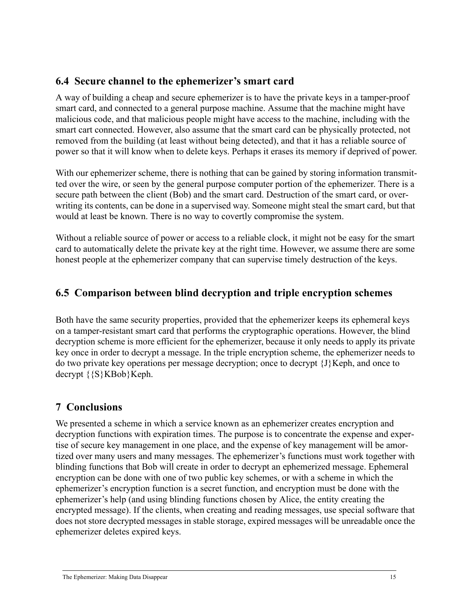#### **6.4 Secure channel to the ephemerizer's smart card**

A way of building a cheap and secure ephemerizer is to have the private keys in a tamper-proof smart card, and connected to a general purpose machine. Assume that the machine might have malicious code, and that malicious people might have access to the machine, including with the smart cart connected. However, also assume that the smart card can be physically protected, not removed from the building (at least without being detected), and that it has a reliable source of power so that it will know when to delete keys. Perhaps it erases its memory if deprived of power.

With our ephemerizer scheme, there is nothing that can be gained by storing information transmitted over the wire, or seen by the general purpose computer portion of the ephemerizer. There is a secure path between the client (Bob) and the smart card. Destruction of the smart card, or overwriting its contents, can be done in a supervised way. Someone might steal the smart card, but that would at least be known. There is no way to covertly compromise the system.

Without a reliable source of power or access to a reliable clock, it might not be easy for the smart card to automatically delete the private key at the right time. However, we assume there are some honest people at the ephemerizer company that can supervise timely destruction of the keys.

## **6.5 Comparison between blind decryption and triple encryption schemes**

Both have the same security properties, provided that the ephemerizer keeps its ephemeral keys on a tamper-resistant smart card that performs the cryptographic operations. However, the blind decryption scheme is more efficient for the ephemerizer, because it only needs to apply its private key once in order to decrypt a message. In the triple encryption scheme, the ephemerizer needs to do two private key operations per message decryption; once to decrypt {J}Keph, and once to decrypt  $\{S\}KBob\}Keph.$ 

#### **7 Conclusions**

We presented a scheme in which a service known as an ephemerizer creates encryption and decryption functions with expiration times. The purpose is to concentrate the expense and expertise of secure key management in one place, and the expense of key management will be amortized over many users and many messages. The ephemerizer's functions must work together with blinding functions that Bob will create in order to decrypt an ephemerized message. Ephemeral encryption can be done with one of two public key schemes, or with a scheme in which the ephemerizer's encryption function is a secret function, and encryption must be done with the ephemerizer's help (and using blinding functions chosen by Alice, the entity creating the encrypted message). If the clients, when creating and reading messages, use special software that does not store decrypted messages in stable storage, expired messages will be unreadable once the ephemerizer deletes expired keys.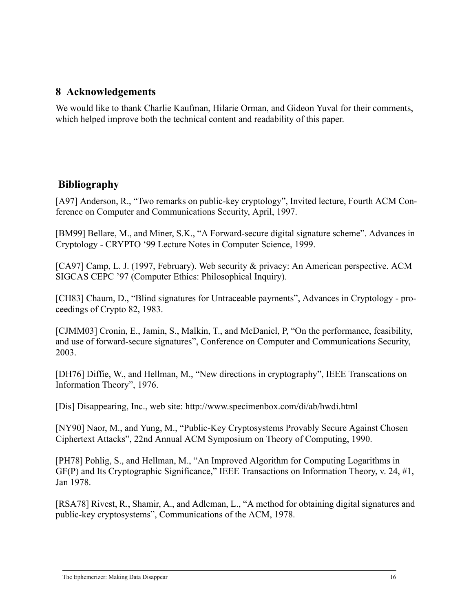#### **8 Acknowledgements**

We would like to thank Charlie Kaufman, Hilarie Orman, and Gideon Yuval for their comments, which helped improve both the technical content and readability of this paper.

#### **Bibliography**

[A97] Anderson, R., "Two remarks on public-key cryptology", Invited lecture, Fourth ACM Conference on Computer and Communications Security, April, 1997.

[BM99] Bellare, M., and Miner, S.K., "A Forward-secure digital signature scheme". Advances in Cryptology - CRYPTO '99 Lecture Notes in Computer Science, 1999.

[CA97] Camp, L. J. (1997, February). Web security & privacy: An American perspective. ACM SIGCAS CEPC '97 (Computer Ethics: Philosophical Inquiry).

[CH83] Chaum, D., "Blind signatures for Untraceable payments", Advances in Cryptology - proceedings of Crypto 82, 1983.

[CJMM03] Cronin, E., Jamin, S., Malkin, T., and McDaniel, P, "On the performance, feasibility, and use of forward-secure signatures", Conference on Computer and Communications Security, 2003.

[DH76] Diffie, W., and Hellman, M., "New directions in cryptography", IEEE Transcations on Information Theory", 1976.

[Dis] Disappearing, Inc., web site: http://www.specimenbox.com/di/ab/hwdi.html

[NY90] Naor, M., and Yung, M., "Public-Key Cryptosystems Provably Secure Against Chosen Ciphertext Attacks", 22nd Annual ACM Symposium on Theory of Computing, 1990.

[PH78] Pohlig, S., and Hellman, M., "An Improved Algorithm for Computing Logarithms in GF(P) and Its Cryptographic Significance," IEEE Transactions on Information Theory, v. 24, #1, Jan 1978.

[RSA78] Rivest, R., Shamir, A., and Adleman, L., "A method for obtaining digital signatures and public-key cryptosystems", Communications of the ACM, 1978.